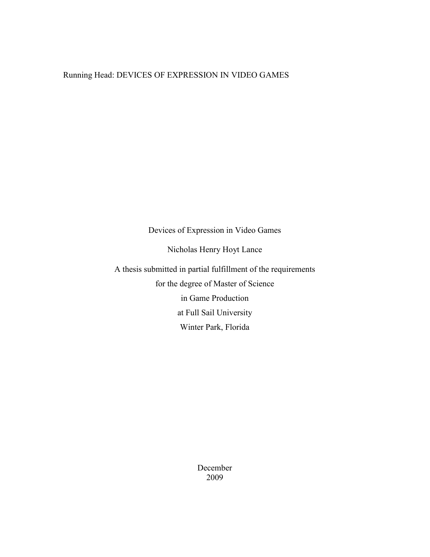# Running Head: DEVICES OF EXPRESSION IN VIDEO GAMES

Devices of Expression in Video Games

Nicholas Henry Hoyt Lance

A thesis submitted in partial fulfillment of the requirements for the degree of Master of Science in Game Production at Full Sail University Winter Park, Florida

> December 2009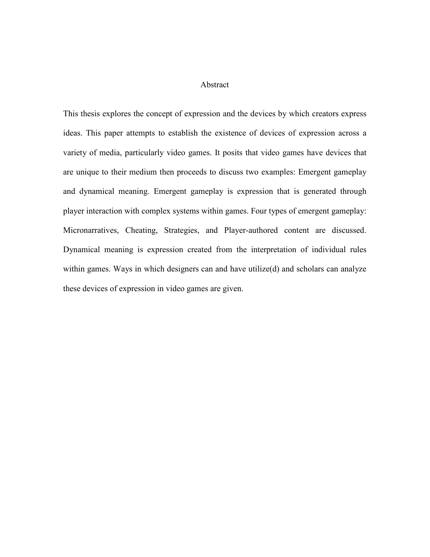## Abstract

This thesis explores the concept of expression and the devices by which creators express ideas. This paper attempts to establish the existence of devices of expression across a variety of media, particularly video games. It posits that video games have devices that are unique to their medium then proceeds to discuss two examples: Emergent gameplay and dynamical meaning. Emergent gameplay is expression that is generated through player interaction with complex systems within games. Four types of emergent gameplay: Micronarratives, Cheating, Strategies, and Player-authored content are discussed. Dynamical meaning is expression created from the interpretation of individual rules within games. Ways in which designers can and have utilize(d) and scholars can analyze these devices of expression in video games are given.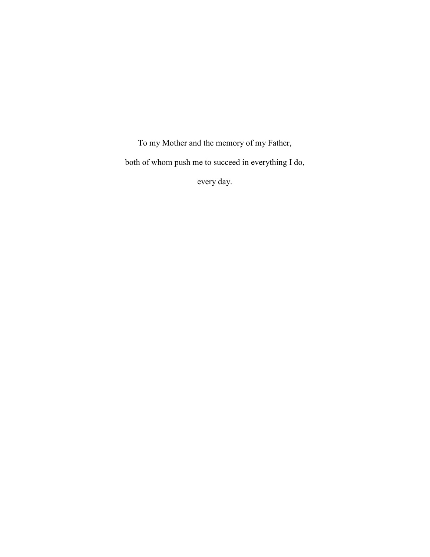To my Mother and the memory of my Father, both of whom push me to succeed in everything I do,

every day.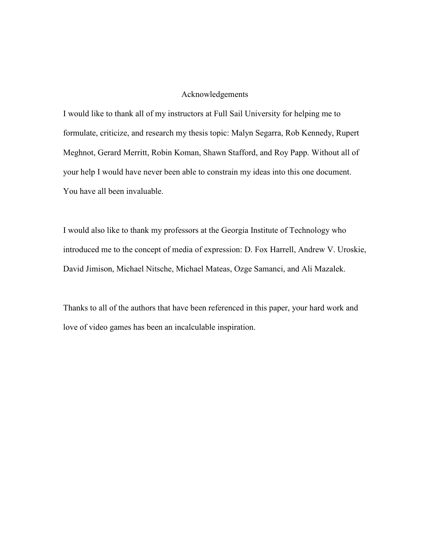## Acknowledgements

I would like to thank all of my instructors at Full Sail University for helping me to formulate, criticize, and research my thesis topic: Malyn Segarra, Rob Kennedy, Rupert Meghnot, Gerard Merritt, Robin Koman, Shawn Stafford, and Roy Papp. Without all of your help I would have never been able to constrain my ideas into this one document. You have all been invaluable.

I would also like to thank my professors at the Georgia Institute of Technology who introduced me to the concept of media of expression: D. Fox Harrell, Andrew V. Uroskie, David Jimison, Michael Nitsche, Michael Mateas, Ozge Samanci, and Ali Mazalek.

Thanks to all of the authors that have been referenced in this paper, your hard work and love of video games has been an incalculable inspiration.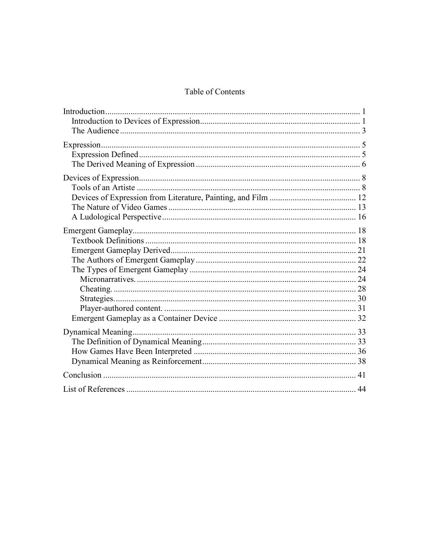# Table of Contents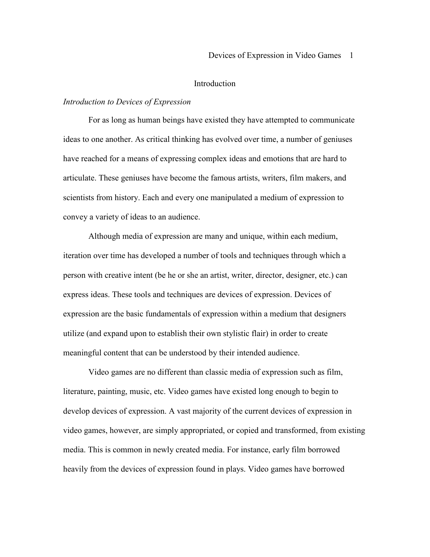#### Introduction

## *Introduction to Devices of Expression*

 For as long as human beings have existed they have attempted to communicate ideas to one another. As critical thinking has evolved over time, a number of geniuses have reached for a means of expressing complex ideas and emotions that are hard to articulate. These geniuses have become the famous artists, writers, film makers, and scientists from history. Each and every one manipulated a medium of expression to convey a variety of ideas to an audience.

 Although media of expression are many and unique, within each medium, iteration over time has developed a number of tools and techniques through which a person with creative intent (be he or she an artist, writer, director, designer, etc.) can express ideas. These tools and techniques are devices of expression. Devices of expression are the basic fundamentals of expression within a medium that designers utilize (and expand upon to establish their own stylistic flair) in order to create meaningful content that can be understood by their intended audience.

 Video games are no different than classic media of expression such as film, literature, painting, music, etc. Video games have existed long enough to begin to develop devices of expression. A vast majority of the current devices of expression in video games, however, are simply appropriated, or copied and transformed, from existing media. This is common in newly created media. For instance, early film borrowed heavily from the devices of expression found in plays. Video games have borrowed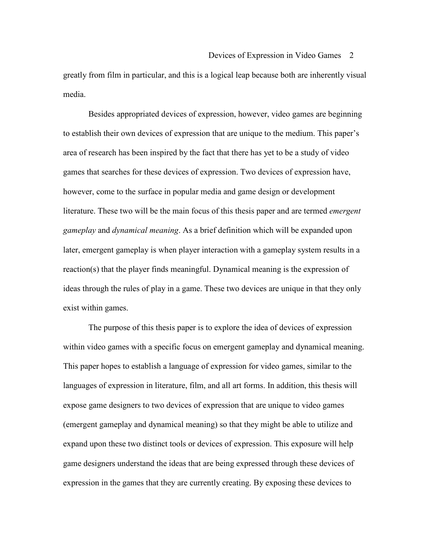greatly from film in particular, and this is a logical leap because both are inherently visual media.

Besides appropriated devices of expression, however, video games are beginning to establish their own devices of expression that are unique to the medium. This paper's area of research has been inspired by the fact that there has yet to be a study of video games that searches for these devices of expression. Two devices of expression have, however, come to the surface in popular media and game design or development literature. These two will be the main focus of this thesis paper and are termed *emergent gameplay* and *dynamical meaning*. As a brief definition which will be expanded upon later, emergent gameplay is when player interaction with a gameplay system results in a reaction(s) that the player finds meaningful. Dynamical meaning is the expression of ideas through the rules of play in a game. These two devices are unique in that they only exist within games.

The purpose of this thesis paper is to explore the idea of devices of expression within video games with a specific focus on emergent gameplay and dynamical meaning. This paper hopes to establish a language of expression for video games, similar to the languages of expression in literature, film, and all art forms. In addition, this thesis will expose game designers to two devices of expression that are unique to video games (emergent gameplay and dynamical meaning) so that they might be able to utilize and expand upon these two distinct tools or devices of expression. This exposure will help game designers understand the ideas that are being expressed through these devices of expression in the games that they are currently creating. By exposing these devices to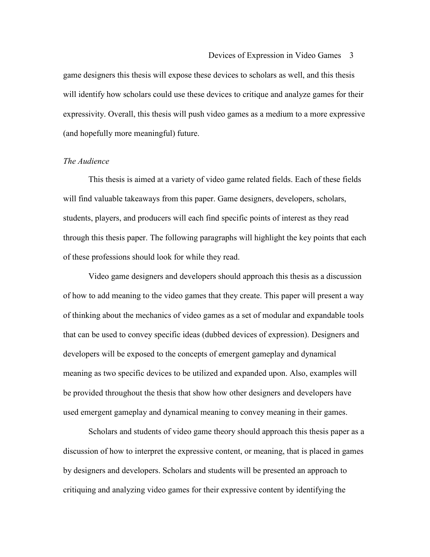game designers this thesis will expose these devices to scholars as well, and this thesis will identify how scholars could use these devices to critique and analyze games for their expressivity. Overall, this thesis will push video games as a medium to a more expressive (and hopefully more meaningful) future.

## *The Audience*

 This thesis is aimed at a variety of video game related fields. Each of these fields will find valuable takeaways from this paper. Game designers, developers, scholars, students, players, and producers will each find specific points of interest as they read through this thesis paper. The following paragraphs will highlight the key points that each of these professions should look for while they read.

 Video game designers and developers should approach this thesis as a discussion of how to add meaning to the video games that they create. This paper will present a way of thinking about the mechanics of video games as a set of modular and expandable tools that can be used to convey specific ideas (dubbed devices of expression). Designers and developers will be exposed to the concepts of emergent gameplay and dynamical meaning as two specific devices to be utilized and expanded upon. Also, examples will be provided throughout the thesis that show how other designers and developers have used emergent gameplay and dynamical meaning to convey meaning in their games.

 Scholars and students of video game theory should approach this thesis paper as a discussion of how to interpret the expressive content, or meaning, that is placed in games by designers and developers. Scholars and students will be presented an approach to critiquing and analyzing video games for their expressive content by identifying the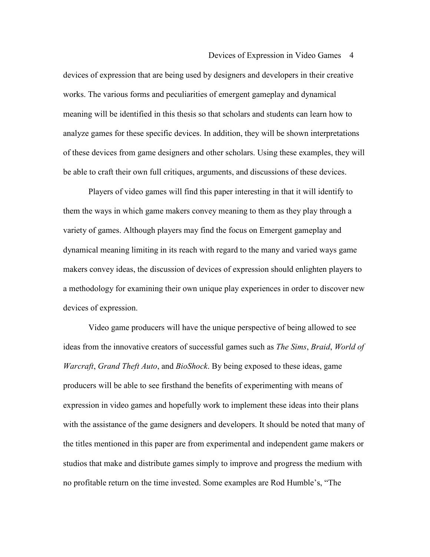devices of expression that are being used by designers and developers in their creative works. The various forms and peculiarities of emergent gameplay and dynamical meaning will be identified in this thesis so that scholars and students can learn how to analyze games for these specific devices. In addition, they will be shown interpretations of these devices from game designers and other scholars. Using these examples, they will be able to craft their own full critiques, arguments, and discussions of these devices.

 Players of video games will find this paper interesting in that it will identify to them the ways in which game makers convey meaning to them as they play through a variety of games. Although players may find the focus on Emergent gameplay and dynamical meaning limiting in its reach with regard to the many and varied ways game makers convey ideas, the discussion of devices of expression should enlighten players to a methodology for examining their own unique play experiences in order to discover new devices of expression.

 Video game producers will have the unique perspective of being allowed to see ideas from the innovative creators of successful games such as *The Sims*, *Braid*, *World of Warcraft*, *Grand Theft Auto*, and *BioShock*. By being exposed to these ideas, game producers will be able to see firsthand the benefits of experimenting with means of expression in video games and hopefully work to implement these ideas into their plans with the assistance of the game designers and developers. It should be noted that many of the titles mentioned in this paper are from experimental and independent game makers or studios that make and distribute games simply to improve and progress the medium with no profitable return on the time invested. Some examples are Rod Humble's, "The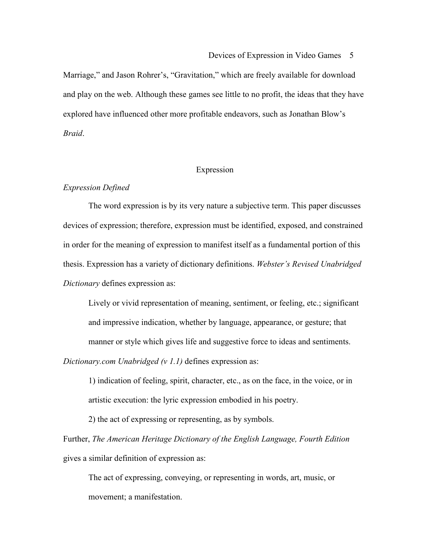Marriage," and Jason Rohrer's, "Gravitation," which are freely available for download and play on the web. Although these games see little to no profit, the ideas that they have explored have influenced other more profitable endeavors, such as Jonathan Blow's *Braid*.

## Expression

## *Expression Defined*

 The word expression is by its very nature a subjective term. This paper discusses devices of expression; therefore, expression must be identified, exposed, and constrained in order for the meaning of expression to manifest itself as a fundamental portion of this thesis. Expression has a variety of dictionary definitions. *Webster's Revised Unabridged Dictionary* defines expression as:

Lively or vivid representation of meaning, sentiment, or feeling, etc.; significant and impressive indication, whether by language, appearance, or gesture; that manner or style which gives life and suggestive force to ideas and sentiments.

*Dictionary.com Unabridged (v 1.1)* defines expression as:

1) indication of feeling, spirit, character, etc., as on the face, in the voice, or in artistic execution: the lyric expression embodied in his poetry.

2) the act of expressing or representing, as by symbols.

Further, *The American Heritage Dictionary of the English Language, Fourth Edition* gives a similar definition of expression as:

The act of expressing, conveying, or representing in words, art, music, or movement; a manifestation.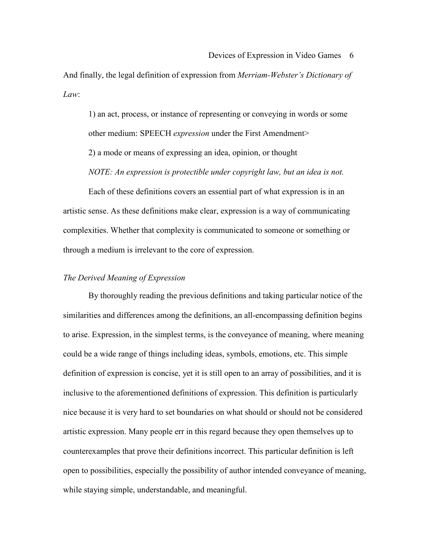And finally, the legal definition of expression from *Merriam-Webster's Dictionary of Law*:

1) an act, process, or instance of representing or conveying in words or some other medium: SPEECH *expression* under the First Amendment> 2) a mode or means of expressing an idea, opinion, or thought *NOTE: An expression is protectible under copyright law, but an idea is not.*

 Each of these definitions covers an essential part of what expression is in an artistic sense. As these definitions make clear, expression is a way of communicating complexities. Whether that complexity is communicated to someone or something or through a medium is irrelevant to the core of expression.

## *The Derived Meaning of Expression*

 By thoroughly reading the previous definitions and taking particular notice of the similarities and differences among the definitions, an all-encompassing definition begins to arise. Expression, in the simplest terms, is the conveyance of meaning, where meaning could be a wide range of things including ideas, symbols, emotions, etc. This simple definition of expression is concise, yet it is still open to an array of possibilities, and it is inclusive to the aforementioned definitions of expression. This definition is particularly nice because it is very hard to set boundaries on what should or should not be considered artistic expression. Many people err in this regard because they open themselves up to counterexamples that prove their definitions incorrect. This particular definition is left open to possibilities, especially the possibility of author intended conveyance of meaning, while staying simple, understandable, and meaningful.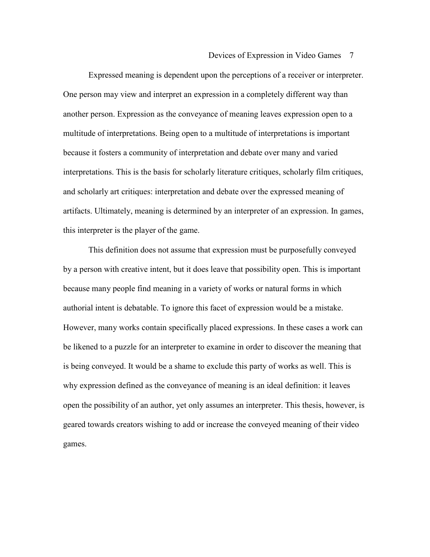Expressed meaning is dependent upon the perceptions of a receiver or interpreter. One person may view and interpret an expression in a completely different way than another person. Expression as the conveyance of meaning leaves expression open to a multitude of interpretations. Being open to a multitude of interpretations is important because it fosters a community of interpretation and debate over many and varied interpretations. This is the basis for scholarly literature critiques, scholarly film critiques, and scholarly art critiques: interpretation and debate over the expressed meaning of artifacts. Ultimately, meaning is determined by an interpreter of an expression. In games, this interpreter is the player of the game.

 This definition does not assume that expression must be purposefully conveyed by a person with creative intent, but it does leave that possibility open. This is important because many people find meaning in a variety of works or natural forms in which authorial intent is debatable. To ignore this facet of expression would be a mistake. However, many works contain specifically placed expressions. In these cases a work can be likened to a puzzle for an interpreter to examine in order to discover the meaning that is being conveyed. It would be a shame to exclude this party of works as well. This is why expression defined as the conveyance of meaning is an ideal definition: it leaves open the possibility of an author, yet only assumes an interpreter. This thesis, however, is geared towards creators wishing to add or increase the conveyed meaning of their video games.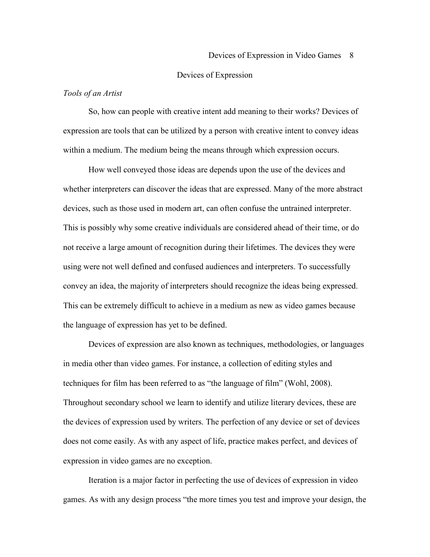### Devices of Expression

## *Tools of an Artist*

 So, how can people with creative intent add meaning to their works? Devices of expression are tools that can be utilized by a person with creative intent to convey ideas within a medium. The medium being the means through which expression occurs.

How well conveyed those ideas are depends upon the use of the devices and whether interpreters can discover the ideas that are expressed. Many of the more abstract devices, such as those used in modern art, can often confuse the untrained interpreter. This is possibly why some creative individuals are considered ahead of their time, or do not receive a large amount of recognition during their lifetimes. The devices they were using were not well defined and confused audiences and interpreters. To successfully convey an idea, the majority of interpreters should recognize the ideas being expressed. This can be extremely difficult to achieve in a medium as new as video games because the language of expression has yet to be defined.

 Devices of expression are also known as techniques, methodologies, or languages in media other than video games. For instance, a collection of editing styles and techniques for film has been referred to as "the language of film" (Wohl, 2008). Throughout secondary school we learn to identify and utilize literary devices, these are the devices of expression used by writers. The perfection of any device or set of devices does not come easily. As with any aspect of life, practice makes perfect, and devices of expression in video games are no exception.

 Iteration is a major factor in perfecting the use of devices of expression in video games. As with any design process "the more times you test and improve your design, the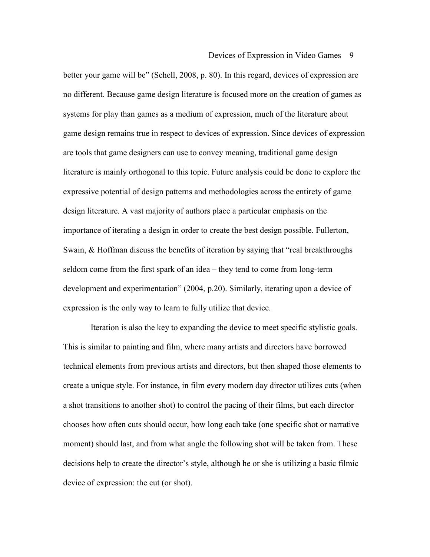better your game will be" (Schell, 2008, p. 80). In this regard, devices of expression are no different. Because game design literature is focused more on the creation of games as systems for play than games as a medium of expression, much of the literature about game design remains true in respect to devices of expression. Since devices of expression are tools that game designers can use to convey meaning, traditional game design literature is mainly orthogonal to this topic. Future analysis could be done to explore the expressive potential of design patterns and methodologies across the entirety of game design literature. A vast majority of authors place a particular emphasis on the importance of iterating a design in order to create the best design possible. Fullerton, Swain, & Hoffman discuss the benefits of iteration by saying that "real breakthroughs seldom come from the first spark of an idea – they tend to come from long-term development and experimentation" (2004, p.20). Similarly, iterating upon a device of expression is the only way to learn to fully utilize that device.

 Iteration is also the key to expanding the device to meet specific stylistic goals. This is similar to painting and film, where many artists and directors have borrowed technical elements from previous artists and directors, but then shaped those elements to create a unique style. For instance, in film every modern day director utilizes cuts (when a shot transitions to another shot) to control the pacing of their films, but each director chooses how often cuts should occur, how long each take (one specific shot or narrative moment) should last, and from what angle the following shot will be taken from. These decisions help to create the director's style, although he or she is utilizing a basic filmic device of expression: the cut (or shot).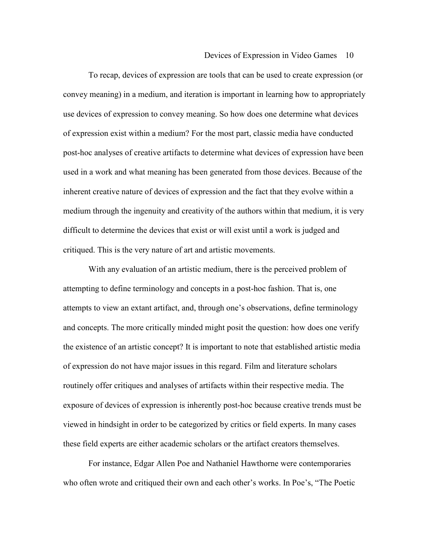To recap, devices of expression are tools that can be used to create expression (or convey meaning) in a medium, and iteration is important in learning how to appropriately use devices of expression to convey meaning. So how does one determine what devices of expression exist within a medium? For the most part, classic media have conducted post-hoc analyses of creative artifacts to determine what devices of expression have been used in a work and what meaning has been generated from those devices. Because of the inherent creative nature of devices of expression and the fact that they evolve within a medium through the ingenuity and creativity of the authors within that medium, it is very difficult to determine the devices that exist or will exist until a work is judged and critiqued. This is the very nature of art and artistic movements.

With any evaluation of an artistic medium, there is the perceived problem of attempting to define terminology and concepts in a post-hoc fashion. That is, one attempts to view an extant artifact, and, through one's observations, define terminology and concepts. The more critically minded might posit the question: how does one verify the existence of an artistic concept? It is important to note that established artistic media of expression do not have major issues in this regard. Film and literature scholars routinely offer critiques and analyses of artifacts within their respective media. The exposure of devices of expression is inherently post-hoc because creative trends must be viewed in hindsight in order to be categorized by critics or field experts. In many cases these field experts are either academic scholars or the artifact creators themselves.

For instance, Edgar Allen Poe and Nathaniel Hawthorne were contemporaries who often wrote and critiqued their own and each other's works. In Poe's, "The Poetic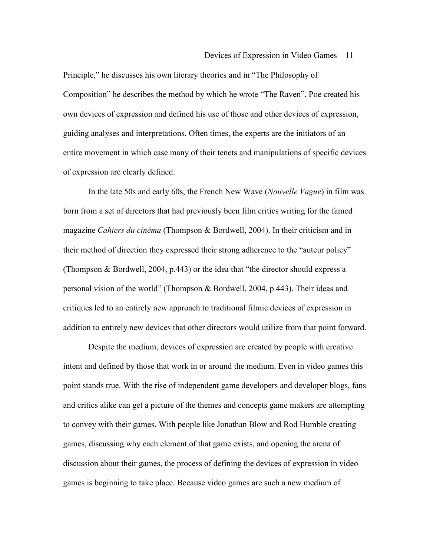Principle," he discusses his own literary theories and in "The Philosophy of Composition" he describes the method by which he wrote "The Raven". Poe created his own devices of expression and defined his use of those and other devices of expression, guiding analyses and interpretations. Often times, the experts are the initiators of an entire movement in which case many of their tenets and manipulations of specific devices of expression are clearly defined.

In the late 50s and early 60s, the French New Wave (*Nouvelle Vague*) in film was born from a set of directors that had previously been film critics writing for the famed magazine *Cahiers du cinéma* (Thompson & Bordwell, 2004). In their criticism and in their method of direction they expressed their strong adherence to the "auteur policy" (Thompson & Bordwell, 2004, p.443) or the idea that "the director should express a personal vision of the world" (Thompson & Bordwell, 2004, p.443). Their ideas and critiques led to an entirely new approach to traditional filmic devices of expression in addition to entirely new devices that other directors would utilize from that point forward.

Despite the medium, devices of expression are created by people with creative intent and defined by those that work in or around the medium. Even in video games this point stands true. With the rise of independent game developers and developer blogs, fans and critics alike can get a picture of the themes and concepts game makers are attempting to convey with their games. With people like Jonathan Blow and Rod Humble creating games, discussing why each element of that game exists, and opening the arena of discussion about their games, the process of defining the devices of expression in video games is beginning to take place. Because video games are such a new medium of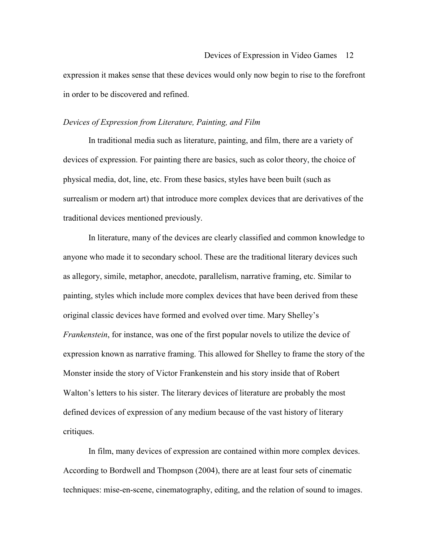expression it makes sense that these devices would only now begin to rise to the forefront in order to be discovered and refined.

## *Devices of Expression from Literature, Painting, and Film*

In traditional media such as literature, painting, and film, there are a variety of devices of expression. For painting there are basics, such as color theory, the choice of physical media, dot, line, etc. From these basics, styles have been built (such as surrealism or modern art) that introduce more complex devices that are derivatives of the traditional devices mentioned previously.

In literature, many of the devices are clearly classified and common knowledge to anyone who made it to secondary school. These are the traditional literary devices such as allegory, simile, metaphor, anecdote, parallelism, narrative framing, etc. Similar to painting, styles which include more complex devices that have been derived from these original classic devices have formed and evolved over time. Mary Shelley's *Frankenstein*, for instance, was one of the first popular novels to utilize the device of expression known as narrative framing. This allowed for Shelley to frame the story of the Monster inside the story of Victor Frankenstein and his story inside that of Robert Walton's letters to his sister. The literary devices of literature are probably the most defined devices of expression of any medium because of the vast history of literary critiques.

In film, many devices of expression are contained within more complex devices. According to Bordwell and Thompson (2004), there are at least four sets of cinematic techniques: mise-en-scene, cinematography, editing, and the relation of sound to images.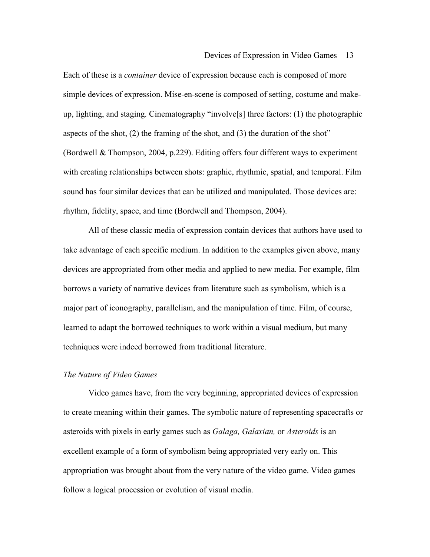Each of these is a *container* device of expression because each is composed of more simple devices of expression. Mise-en-scene is composed of setting, costume and makeup, lighting, and staging. Cinematography "involve[s] three factors: (1) the photographic aspects of the shot, (2) the framing of the shot, and (3) the duration of the shot" (Bordwell & Thompson, 2004, p.229). Editing offers four different ways to experiment with creating relationships between shots: graphic, rhythmic, spatial, and temporal. Film sound has four similar devices that can be utilized and manipulated. Those devices are: rhythm, fidelity, space, and time (Bordwell and Thompson, 2004).

All of these classic media of expression contain devices that authors have used to take advantage of each specific medium. In addition to the examples given above, many devices are appropriated from other media and applied to new media. For example, film borrows a variety of narrative devices from literature such as symbolism, which is a major part of iconography, parallelism, and the manipulation of time. Film, of course, learned to adapt the borrowed techniques to work within a visual medium, but many techniques were indeed borrowed from traditional literature.

## *The Nature of Video Games*

Video games have, from the very beginning, appropriated devices of expression to create meaning within their games. The symbolic nature of representing spacecrafts or asteroids with pixels in early games such as *Galaga, Galaxian,* or *Asteroids* is an excellent example of a form of symbolism being appropriated very early on. This appropriation was brought about from the very nature of the video game. Video games follow a logical procession or evolution of visual media.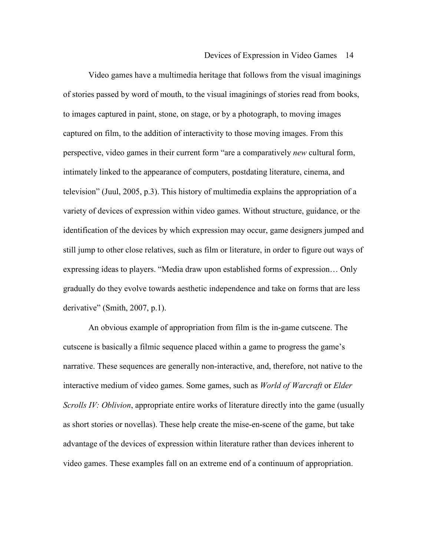Video games have a multimedia heritage that follows from the visual imaginings of stories passed by word of mouth, to the visual imaginings of stories read from books, to images captured in paint, stone, on stage, or by a photograph, to moving images captured on film, to the addition of interactivity to those moving images. From this perspective, video games in their current form "are a comparatively *new* cultural form, intimately linked to the appearance of computers, postdating literature, cinema, and television" (Juul, 2005, p.3). This history of multimedia explains the appropriation of a variety of devices of expression within video games. Without structure, guidance, or the identification of the devices by which expression may occur, game designers jumped and still jump to other close relatives, such as film or literature, in order to figure out ways of expressing ideas to players. "Media draw upon established forms of expression… Only gradually do they evolve towards aesthetic independence and take on forms that are less derivative" (Smith, 2007, p.1).

An obvious example of appropriation from film is the in-game cutscene. The cutscene is basically a filmic sequence placed within a game to progress the game's narrative. These sequences are generally non-interactive, and, therefore, not native to the interactive medium of video games. Some games, such as *World of Warcraft* or *Elder Scrolls IV: Oblivion*, appropriate entire works of literature directly into the game (usually as short stories or novellas). These help create the mise-en-scene of the game, but take advantage of the devices of expression within literature rather than devices inherent to video games. These examples fall on an extreme end of a continuum of appropriation.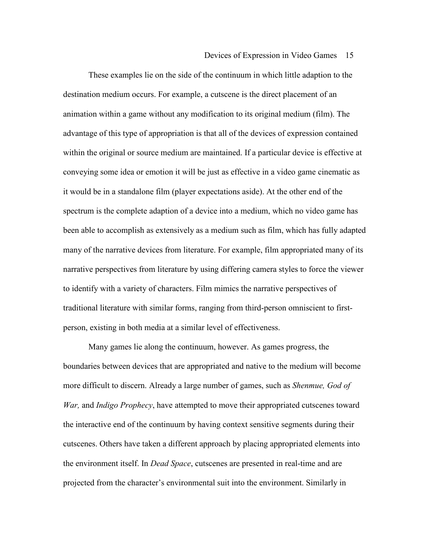These examples lie on the side of the continuum in which little adaption to the destination medium occurs. For example, a cutscene is the direct placement of an animation within a game without any modification to its original medium (film). The advantage of this type of appropriation is that all of the devices of expression contained within the original or source medium are maintained. If a particular device is effective at conveying some idea or emotion it will be just as effective in a video game cinematic as it would be in a standalone film (player expectations aside). At the other end of the spectrum is the complete adaption of a device into a medium, which no video game has been able to accomplish as extensively as a medium such as film, which has fully adapted many of the narrative devices from literature. For example, film appropriated many of its narrative perspectives from literature by using differing camera styles to force the viewer to identify with a variety of characters. Film mimics the narrative perspectives of traditional literature with similar forms, ranging from third-person omniscient to firstperson, existing in both media at a similar level of effectiveness.

Many games lie along the continuum, however. As games progress, the boundaries between devices that are appropriated and native to the medium will become more difficult to discern. Already a large number of games, such as *Shenmue, God of War,* and *Indigo Prophecy*, have attempted to move their appropriated cutscenes toward the interactive end of the continuum by having context sensitive segments during their cutscenes. Others have taken a different approach by placing appropriated elements into the environment itself. In *Dead Space*, cutscenes are presented in real-time and are projected from the character's environmental suit into the environment. Similarly in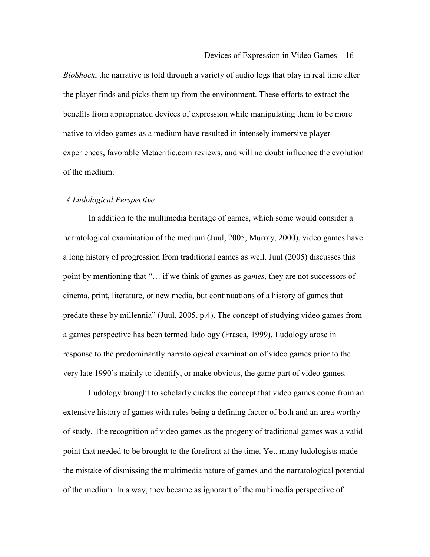*BioShock*, the narrative is told through a variety of audio logs that play in real time after the player finds and picks them up from the environment. These efforts to extract the benefits from appropriated devices of expression while manipulating them to be more native to video games as a medium have resulted in intensely immersive player experiences, favorable Metacritic.com reviews, and will no doubt influence the evolution of the medium.

## *A Ludological Perspective*

 In addition to the multimedia heritage of games, which some would consider a narratological examination of the medium (Juul, 2005, Murray, 2000), video games have a long history of progression from traditional games as well. Juul (2005) discusses this point by mentioning that "… if we think of games as *games*, they are not successors of cinema, print, literature, or new media, but continuations of a history of games that predate these by millennia" (Juul, 2005, p.4). The concept of studying video games from a games perspective has been termed ludology (Frasca, 1999). Ludology arose in response to the predominantly narratological examination of video games prior to the very late 1990's mainly to identify, or make obvious, the game part of video games.

 Ludology brought to scholarly circles the concept that video games come from an extensive history of games with rules being a defining factor of both and an area worthy of study. The recognition of video games as the progeny of traditional games was a valid point that needed to be brought to the forefront at the time. Yet, many ludologists made the mistake of dismissing the multimedia nature of games and the narratological potential of the medium. In a way, they became as ignorant of the multimedia perspective of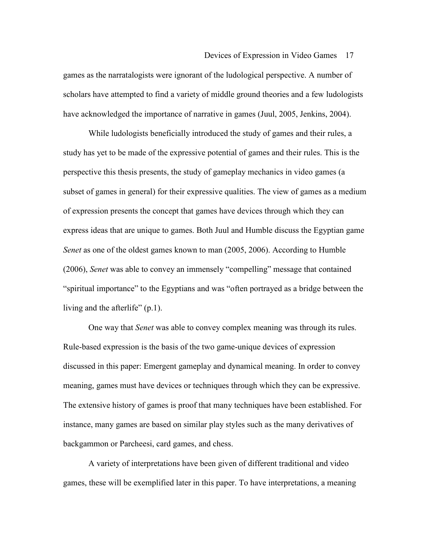games as the narratalogists were ignorant of the ludological perspective. A number of scholars have attempted to find a variety of middle ground theories and a few ludologists have acknowledged the importance of narrative in games (Juul, 2005, Jenkins, 2004).

 While ludologists beneficially introduced the study of games and their rules, a study has yet to be made of the expressive potential of games and their rules. This is the perspective this thesis presents, the study of gameplay mechanics in video games (a subset of games in general) for their expressive qualities. The view of games as a medium of expression presents the concept that games have devices through which they can express ideas that are unique to games. Both Juul and Humble discuss the Egyptian game *Senet* as one of the oldest games known to man (2005, 2006). According to Humble (2006), *Senet* was able to convey an immensely "compelling" message that contained "spiritual importance" to the Egyptians and was "often portrayed as a bridge between the living and the afterlife" (p.1).

One way that *Senet* was able to convey complex meaning was through its rules. Rule-based expression is the basis of the two game-unique devices of expression discussed in this paper: Emergent gameplay and dynamical meaning. In order to convey meaning, games must have devices or techniques through which they can be expressive. The extensive history of games is proof that many techniques have been established. For instance, many games are based on similar play styles such as the many derivatives of backgammon or Parcheesi, card games, and chess.

A variety of interpretations have been given of different traditional and video games, these will be exemplified later in this paper. To have interpretations, a meaning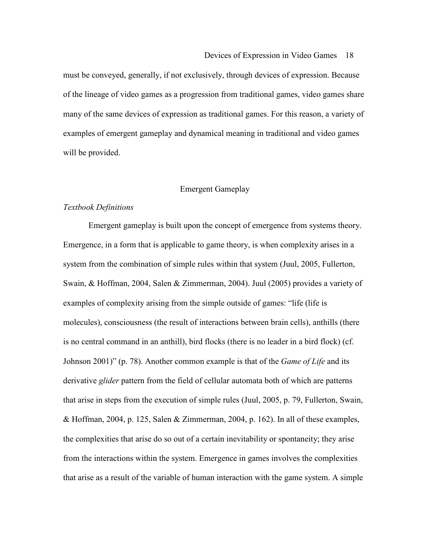must be conveyed, generally, if not exclusively, through devices of expression. Because of the lineage of video games as a progression from traditional games, video games share many of the same devices of expression as traditional games. For this reason, a variety of examples of emergent gameplay and dynamical meaning in traditional and video games will be provided.

## Emergent Gameplay

### *Textbook Definitions*

 Emergent gameplay is built upon the concept of emergence from systems theory. Emergence, in a form that is applicable to game theory, is when complexity arises in a system from the combination of simple rules within that system (Juul, 2005, Fullerton, Swain, & Hoffman, 2004, Salen & Zimmerman, 2004). Juul (2005) provides a variety of examples of complexity arising from the simple outside of games: "life (life is molecules), consciousness (the result of interactions between brain cells), anthills (there is no central command in an anthill), bird flocks (there is no leader in a bird flock) (cf. Johnson 2001)" (p. 78). Another common example is that of the *Game of Life* and its derivative *glider* pattern from the field of cellular automata both of which are patterns that arise in steps from the execution of simple rules (Juul, 2005, p. 79, Fullerton, Swain, & Hoffman, 2004, p. 125, Salen & Zimmerman, 2004, p. 162). In all of these examples, the complexities that arise do so out of a certain inevitability or spontaneity; they arise from the interactions within the system. Emergence in games involves the complexities that arise as a result of the variable of human interaction with the game system. A simple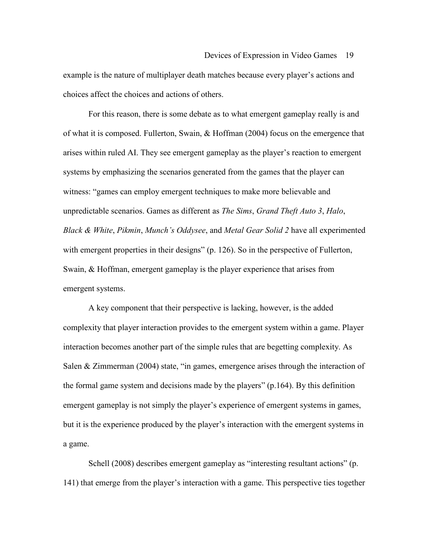example is the nature of multiplayer death matches because every player's actions and choices affect the choices and actions of others.

 For this reason, there is some debate as to what emergent gameplay really is and of what it is composed. Fullerton, Swain, & Hoffman (2004) focus on the emergence that arises within ruled AI. They see emergent gameplay as the player's reaction to emergent systems by emphasizing the scenarios generated from the games that the player can witness: "games can employ emergent techniques to make more believable and unpredictable scenarios. Games as different as *The Sims*, *Grand Theft Auto 3*, *Halo*, *Black & White*, *Pikmin*, *Munch's Oddysee*, and *Metal Gear Solid 2* have all experimented with emergent properties in their designs" (p. 126). So in the perspective of Fullerton, Swain, & Hoffman, emergent gameplay is the player experience that arises from emergent systems.

 A key component that their perspective is lacking, however, is the added complexity that player interaction provides to the emergent system within a game. Player interaction becomes another part of the simple rules that are begetting complexity. As Salen & Zimmerman (2004) state, "in games, emergence arises through the interaction of the formal game system and decisions made by the players" (p.164). By this definition emergent gameplay is not simply the player's experience of emergent systems in games, but it is the experience produced by the player's interaction with the emergent systems in a game.

Schell (2008) describes emergent gameplay as "interesting resultant actions" (p. 141) that emerge from the player's interaction with a game. This perspective ties together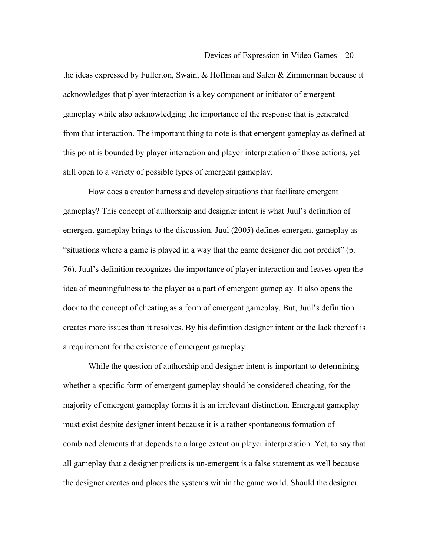the ideas expressed by Fullerton, Swain, & Hoffman and Salen & Zimmerman because it acknowledges that player interaction is a key component or initiator of emergent gameplay while also acknowledging the importance of the response that is generated from that interaction. The important thing to note is that emergent gameplay as defined at this point is bounded by player interaction and player interpretation of those actions, yet still open to a variety of possible types of emergent gameplay.

How does a creator harness and develop situations that facilitate emergent gameplay? This concept of authorship and designer intent is what Juul's definition of emergent gameplay brings to the discussion. Juul (2005) defines emergent gameplay as "situations where a game is played in a way that the game designer did not predict" (p. 76). Juul's definition recognizes the importance of player interaction and leaves open the idea of meaningfulness to the player as a part of emergent gameplay. It also opens the door to the concept of cheating as a form of emergent gameplay. But, Juul's definition creates more issues than it resolves. By his definition designer intent or the lack thereof is a requirement for the existence of emergent gameplay.

While the question of authorship and designer intent is important to determining whether a specific form of emergent gameplay should be considered cheating, for the majority of emergent gameplay forms it is an irrelevant distinction. Emergent gameplay must exist despite designer intent because it is a rather spontaneous formation of combined elements that depends to a large extent on player interpretation. Yet, to say that all gameplay that a designer predicts is un-emergent is a false statement as well because the designer creates and places the systems within the game world. Should the designer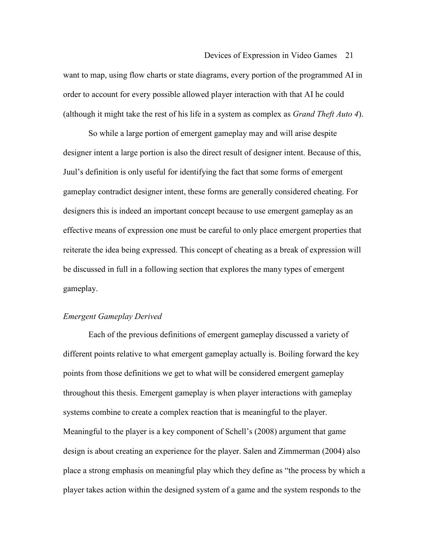want to map, using flow charts or state diagrams, every portion of the programmed AI in order to account for every possible allowed player interaction with that AI he could (although it might take the rest of his life in a system as complex as *Grand Theft Auto 4*).

So while a large portion of emergent gameplay may and will arise despite designer intent a large portion is also the direct result of designer intent. Because of this, Juul's definition is only useful for identifying the fact that some forms of emergent gameplay contradict designer intent, these forms are generally considered cheating. For designers this is indeed an important concept because to use emergent gameplay as an effective means of expression one must be careful to only place emergent properties that reiterate the idea being expressed. This concept of cheating as a break of expression will be discussed in full in a following section that explores the many types of emergent gameplay.

## *Emergent Gameplay Derived*

 Each of the previous definitions of emergent gameplay discussed a variety of different points relative to what emergent gameplay actually is. Boiling forward the key points from those definitions we get to what will be considered emergent gameplay throughout this thesis. Emergent gameplay is when player interactions with gameplay systems combine to create a complex reaction that is meaningful to the player. Meaningful to the player is a key component of Schell's (2008) argument that game design is about creating an experience for the player. Salen and Zimmerman (2004) also place a strong emphasis on meaningful play which they define as "the process by which a player takes action within the designed system of a game and the system responds to the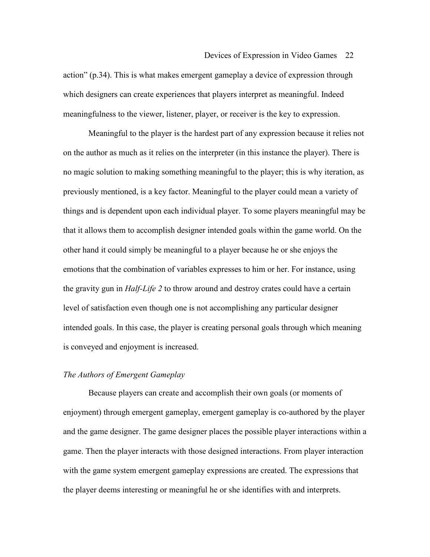action" (p.34). This is what makes emergent gameplay a device of expression through which designers can create experiences that players interpret as meaningful. Indeed meaningfulness to the viewer, listener, player, or receiver is the key to expression.

 Meaningful to the player is the hardest part of any expression because it relies not on the author as much as it relies on the interpreter (in this instance the player). There is no magic solution to making something meaningful to the player; this is why iteration, as previously mentioned, is a key factor. Meaningful to the player could mean a variety of things and is dependent upon each individual player. To some players meaningful may be that it allows them to accomplish designer intended goals within the game world. On the other hand it could simply be meaningful to a player because he or she enjoys the emotions that the combination of variables expresses to him or her. For instance, using the gravity gun in *Half-Life 2* to throw around and destroy crates could have a certain level of satisfaction even though one is not accomplishing any particular designer intended goals. In this case, the player is creating personal goals through which meaning is conveyed and enjoyment is increased.

## *The Authors of Emergent Gameplay*

 Because players can create and accomplish their own goals (or moments of enjoyment) through emergent gameplay, emergent gameplay is co-authored by the player and the game designer. The game designer places the possible player interactions within a game. Then the player interacts with those designed interactions. From player interaction with the game system emergent gameplay expressions are created. The expressions that the player deems interesting or meaningful he or she identifies with and interprets.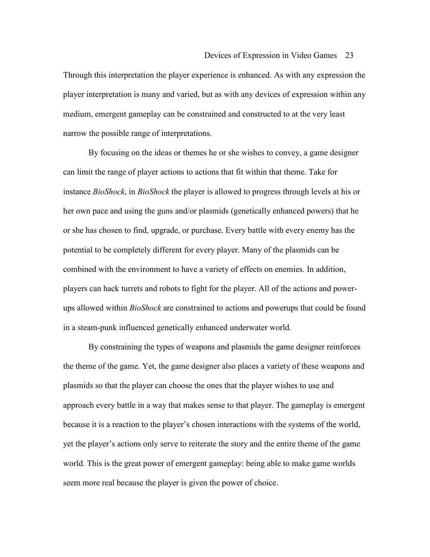Through this interpretation the player experience is enhanced. As with any expression the player interpretation is many and varied, but as with any devices of expression within any medium, emergent gameplay can be constrained and constructed to at the very least narrow the possible range of interpretations.

 By focusing on the ideas or themes he or she wishes to convey, a game designer can limit the range of player actions to actions that fit within that theme. Take for instance *BioShock*, in *BioShock* the player is allowed to progress through levels at his or her own pace and using the guns and/or plasmids (genetically enhanced powers) that he or she has chosen to find, upgrade, or purchase. Every battle with every enemy has the potential to be completely different for every player. Many of the plasmids can be combined with the environment to have a variety of effects on enemies. In addition, players can hack turrets and robots to fight for the player. All of the actions and powerups allowed within *BioShock* are constrained to actions and powerups that could be found in a steam-punk influenced genetically enhanced underwater world.

 By constraining the types of weapons and plasmids the game designer reinforces the theme of the game. Yet, the game designer also places a variety of these weapons and plasmids so that the player can choose the ones that the player wishes to use and approach every battle in a way that makes sense to that player. The gameplay is emergent because it is a reaction to the player's chosen interactions with the systems of the world, yet the player's actions only serve to reiterate the story and the entire theme of the game world. This is the great power of emergent gameplay: being able to make game worlds seem more real because the player is given the power of choice.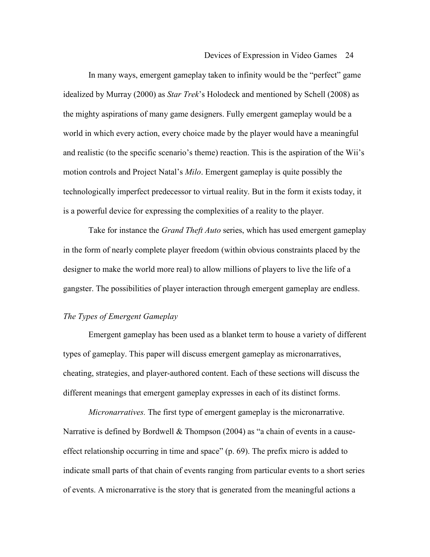In many ways, emergent gameplay taken to infinity would be the "perfect" game idealized by Murray (2000) as *Star Trek*'s Holodeck and mentioned by Schell (2008) as the mighty aspirations of many game designers. Fully emergent gameplay would be a world in which every action, every choice made by the player would have a meaningful and realistic (to the specific scenario's theme) reaction. This is the aspiration of the Wii's motion controls and Project Natal's *Milo*. Emergent gameplay is quite possibly the technologically imperfect predecessor to virtual reality. But in the form it exists today, it is a powerful device for expressing the complexities of a reality to the player.

Take for instance the *Grand Theft Auto* series, which has used emergent gameplay in the form of nearly complete player freedom (within obvious constraints placed by the designer to make the world more real) to allow millions of players to live the life of a gangster. The possibilities of player interaction through emergent gameplay are endless.

## *The Types of Emergent Gameplay*

 Emergent gameplay has been used as a blanket term to house a variety of different types of gameplay. This paper will discuss emergent gameplay as micronarratives, cheating, strategies, and player-authored content. Each of these sections will discuss the different meanings that emergent gameplay expresses in each of its distinct forms.

*Micronarratives.* The first type of emergent gameplay is the micronarrative. Narrative is defined by Bordwell & Thompson (2004) as "a chain of events in a causeeffect relationship occurring in time and space" (p. 69). The prefix micro is added to indicate small parts of that chain of events ranging from particular events to a short series of events. A micronarrative is the story that is generated from the meaningful actions a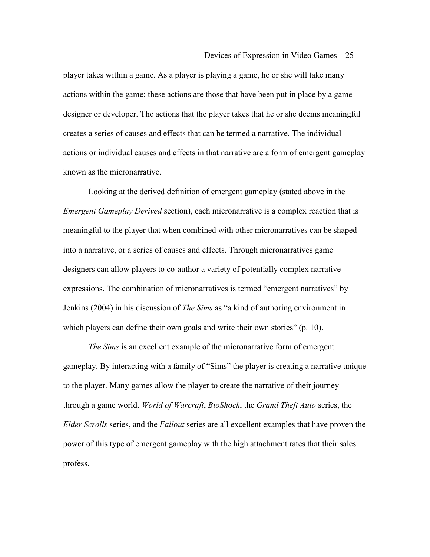player takes within a game. As a player is playing a game, he or she will take many actions within the game; these actions are those that have been put in place by a game designer or developer. The actions that the player takes that he or she deems meaningful creates a series of causes and effects that can be termed a narrative. The individual actions or individual causes and effects in that narrative are a form of emergent gameplay known as the micronarrative.

Looking at the derived definition of emergent gameplay (stated above in the *Emergent Gameplay Derived* section), each micronarrative is a complex reaction that is meaningful to the player that when combined with other micronarratives can be shaped into a narrative, or a series of causes and effects. Through micronarratives game designers can allow players to co-author a variety of potentially complex narrative expressions. The combination of micronarratives is termed "emergent narratives" by Jenkins (2004) in his discussion of *The Sims* as "a kind of authoring environment in which players can define their own goals and write their own stories" (p. 10).

*The Sims* is an excellent example of the micronarrative form of emergent gameplay. By interacting with a family of "Sims" the player is creating a narrative unique to the player. Many games allow the player to create the narrative of their journey through a game world. *World of Warcraft*, *BioShock*, the *Grand Theft Auto* series, the *Elder Scrolls* series, and the *Fallout* series are all excellent examples that have proven the power of this type of emergent gameplay with the high attachment rates that their sales profess.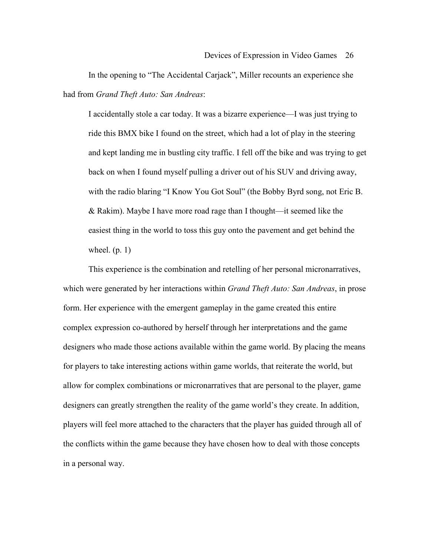In the opening to "The Accidental Carjack", Miller recounts an experience she had from *Grand Theft Auto: San Andreas*:

I accidentally stole a car today. It was a bizarre experience—I was just trying to ride this BMX bike I found on the street, which had a lot of play in the steering and kept landing me in bustling city traffic. I fell off the bike and was trying to get back on when I found myself pulling a driver out of his SUV and driving away, with the radio blaring "I Know You Got Soul" (the Bobby Byrd song, not Eric B. & Rakim). Maybe I have more road rage than I thought—it seemed like the easiest thing in the world to toss this guy onto the pavement and get behind the wheel.  $(p. 1)$ 

This experience is the combination and retelling of her personal micronarratives, which were generated by her interactions within *Grand Theft Auto: San Andreas*, in prose form. Her experience with the emergent gameplay in the game created this entire complex expression co-authored by herself through her interpretations and the game designers who made those actions available within the game world. By placing the means for players to take interesting actions within game worlds, that reiterate the world, but allow for complex combinations or micronarratives that are personal to the player, game designers can greatly strengthen the reality of the game world's they create. In addition, players will feel more attached to the characters that the player has guided through all of the conflicts within the game because they have chosen how to deal with those concepts in a personal way.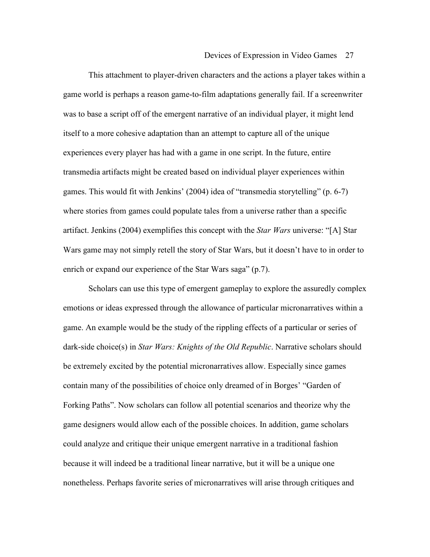This attachment to player-driven characters and the actions a player takes within a game world is perhaps a reason game-to-film adaptations generally fail. If a screenwriter was to base a script off of the emergent narrative of an individual player, it might lend itself to a more cohesive adaptation than an attempt to capture all of the unique experiences every player has had with a game in one script. In the future, entire transmedia artifacts might be created based on individual player experiences within games. This would fit with Jenkins' (2004) idea of "transmedia storytelling" (p. 6-7) where stories from games could populate tales from a universe rather than a specific artifact. Jenkins (2004) exemplifies this concept with the *Star Wars* universe: "[A] Star Wars game may not simply retell the story of Star Wars, but it doesn't have to in order to enrich or expand our experience of the Star Wars saga" (p.7).

Scholars can use this type of emergent gameplay to explore the assuredly complex emotions or ideas expressed through the allowance of particular micronarratives within a game. An example would be the study of the rippling effects of a particular or series of dark-side choice(s) in *Star Wars: Knights of the Old Republic*. Narrative scholars should be extremely excited by the potential micronarratives allow. Especially since games contain many of the possibilities of choice only dreamed of in Borges' "Garden of Forking Paths". Now scholars can follow all potential scenarios and theorize why the game designers would allow each of the possible choices. In addition, game scholars could analyze and critique their unique emergent narrative in a traditional fashion because it will indeed be a traditional linear narrative, but it will be a unique one nonetheless. Perhaps favorite series of micronarratives will arise through critiques and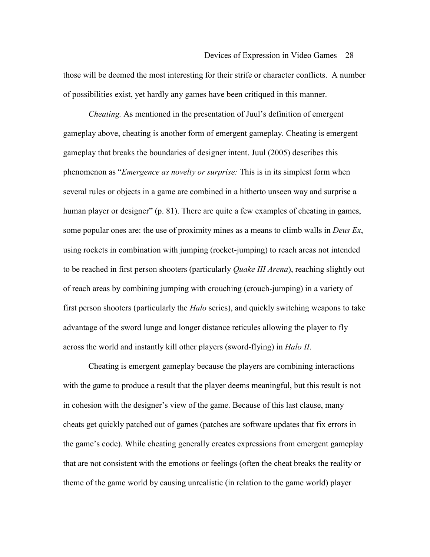those will be deemed the most interesting for their strife or character conflicts. A number of possibilities exist, yet hardly any games have been critiqued in this manner.

*Cheating.* As mentioned in the presentation of Juul's definition of emergent gameplay above, cheating is another form of emergent gameplay. Cheating is emergent gameplay that breaks the boundaries of designer intent. Juul (2005) describes this phenomenon as "*Emergence as novelty or surprise:* This is in its simplest form when several rules or objects in a game are combined in a hitherto unseen way and surprise a human player or designer" (p. 81). There are quite a few examples of cheating in games, some popular ones are: the use of proximity mines as a means to climb walls in *Deus Ex*, using rockets in combination with jumping (rocket-jumping) to reach areas not intended to be reached in first person shooters (particularly *Quake III Arena*), reaching slightly out of reach areas by combining jumping with crouching (crouch-jumping) in a variety of first person shooters (particularly the *Halo* series), and quickly switching weapons to take advantage of the sword lunge and longer distance reticules allowing the player to fly across the world and instantly kill other players (sword-flying) in *Halo II*.

Cheating is emergent gameplay because the players are combining interactions with the game to produce a result that the player deems meaningful, but this result is not in cohesion with the designer's view of the game. Because of this last clause, many cheats get quickly patched out of games (patches are software updates that fix errors in the game's code). While cheating generally creates expressions from emergent gameplay that are not consistent with the emotions or feelings (often the cheat breaks the reality or theme of the game world by causing unrealistic (in relation to the game world) player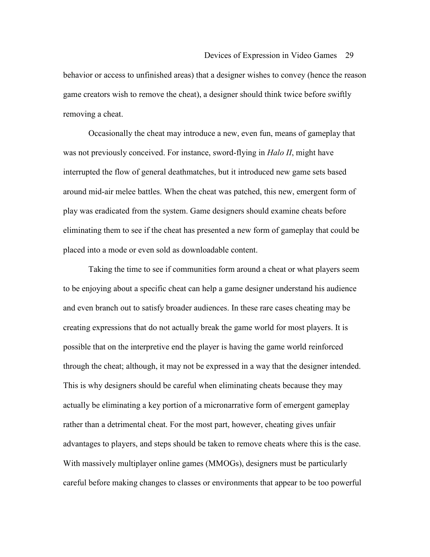behavior or access to unfinished areas) that a designer wishes to convey (hence the reason game creators wish to remove the cheat), a designer should think twice before swiftly removing a cheat.

Occasionally the cheat may introduce a new, even fun, means of gameplay that was not previously conceived. For instance, sword-flying in *Halo II*, might have interrupted the flow of general deathmatches, but it introduced new game sets based around mid-air melee battles. When the cheat was patched, this new, emergent form of play was eradicated from the system. Game designers should examine cheats before eliminating them to see if the cheat has presented a new form of gameplay that could be placed into a mode or even sold as downloadable content.

Taking the time to see if communities form around a cheat or what players seem to be enjoying about a specific cheat can help a game designer understand his audience and even branch out to satisfy broader audiences. In these rare cases cheating may be creating expressions that do not actually break the game world for most players. It is possible that on the interpretive end the player is having the game world reinforced through the cheat; although, it may not be expressed in a way that the designer intended. This is why designers should be careful when eliminating cheats because they may actually be eliminating a key portion of a micronarrative form of emergent gameplay rather than a detrimental cheat. For the most part, however, cheating gives unfair advantages to players, and steps should be taken to remove cheats where this is the case. With massively multiplayer online games (MMOGs), designers must be particularly careful before making changes to classes or environments that appear to be too powerful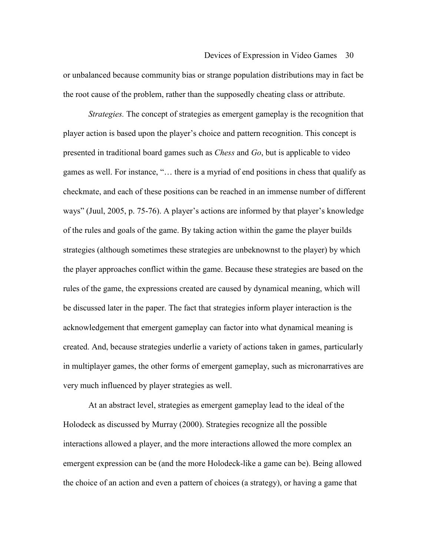or unbalanced because community bias or strange population distributions may in fact be the root cause of the problem, rather than the supposedly cheating class or attribute.

*Strategies.* The concept of strategies as emergent gameplay is the recognition that player action is based upon the player's choice and pattern recognition. This concept is presented in traditional board games such as *Chess* and *Go*, but is applicable to video games as well. For instance, "… there is a myriad of end positions in chess that qualify as checkmate, and each of these positions can be reached in an immense number of different ways" (Juul, 2005, p. 75-76). A player's actions are informed by that player's knowledge of the rules and goals of the game. By taking action within the game the player builds strategies (although sometimes these strategies are unbeknownst to the player) by which the player approaches conflict within the game. Because these strategies are based on the rules of the game, the expressions created are caused by dynamical meaning, which will be discussed later in the paper. The fact that strategies inform player interaction is the acknowledgement that emergent gameplay can factor into what dynamical meaning is created. And, because strategies underlie a variety of actions taken in games, particularly in multiplayer games, the other forms of emergent gameplay, such as micronarratives are very much influenced by player strategies as well.

At an abstract level, strategies as emergent gameplay lead to the ideal of the Holodeck as discussed by Murray (2000). Strategies recognize all the possible interactions allowed a player, and the more interactions allowed the more complex an emergent expression can be (and the more Holodeck-like a game can be). Being allowed the choice of an action and even a pattern of choices (a strategy), or having a game that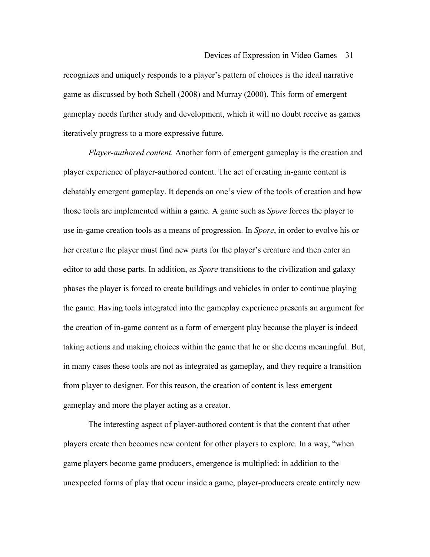recognizes and uniquely responds to a player's pattern of choices is the ideal narrative game as discussed by both Schell (2008) and Murray (2000). This form of emergent gameplay needs further study and development, which it will no doubt receive as games iteratively progress to a more expressive future.

*Player-authored content.* Another form of emergent gameplay is the creation and player experience of player-authored content. The act of creating in-game content is debatably emergent gameplay. It depends on one's view of the tools of creation and how those tools are implemented within a game. A game such as *Spore* forces the player to use in-game creation tools as a means of progression. In *Spore*, in order to evolve his or her creature the player must find new parts for the player's creature and then enter an editor to add those parts. In addition, as *Spore* transitions to the civilization and galaxy phases the player is forced to create buildings and vehicles in order to continue playing the game. Having tools integrated into the gameplay experience presents an argument for the creation of in-game content as a form of emergent play because the player is indeed taking actions and making choices within the game that he or she deems meaningful. But, in many cases these tools are not as integrated as gameplay, and they require a transition from player to designer. For this reason, the creation of content is less emergent gameplay and more the player acting as a creator.

The interesting aspect of player-authored content is that the content that other players create then becomes new content for other players to explore. In a way, "when game players become game producers, emergence is multiplied: in addition to the unexpected forms of play that occur inside a game, player-producers create entirely new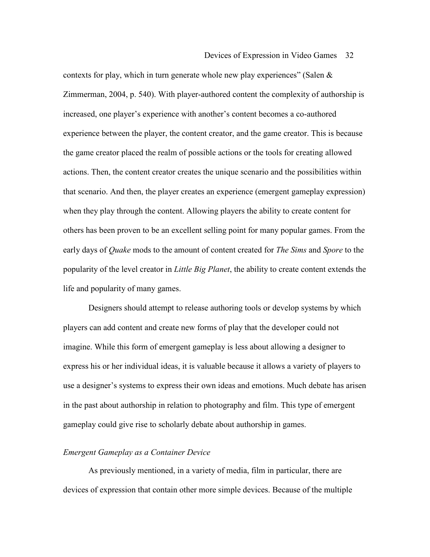contexts for play, which in turn generate whole new play experiences" (Salen  $\&$ Zimmerman, 2004, p. 540). With player-authored content the complexity of authorship is increased, one player's experience with another's content becomes a co-authored experience between the player, the content creator, and the game creator. This is because the game creator placed the realm of possible actions or the tools for creating allowed actions. Then, the content creator creates the unique scenario and the possibilities within that scenario. And then, the player creates an experience (emergent gameplay expression) when they play through the content. Allowing players the ability to create content for others has been proven to be an excellent selling point for many popular games. From the early days of *Quake* mods to the amount of content created for *The Sims* and *Spore* to the popularity of the level creator in *Little Big Planet*, the ability to create content extends the life and popularity of many games.

Designers should attempt to release authoring tools or develop systems by which players can add content and create new forms of play that the developer could not imagine. While this form of emergent gameplay is less about allowing a designer to express his or her individual ideas, it is valuable because it allows a variety of players to use a designer's systems to express their own ideas and emotions. Much debate has arisen in the past about authorship in relation to photography and film. This type of emergent gameplay could give rise to scholarly debate about authorship in games.

## *Emergent Gameplay as a Container Device*

 As previously mentioned, in a variety of media, film in particular, there are devices of expression that contain other more simple devices. Because of the multiple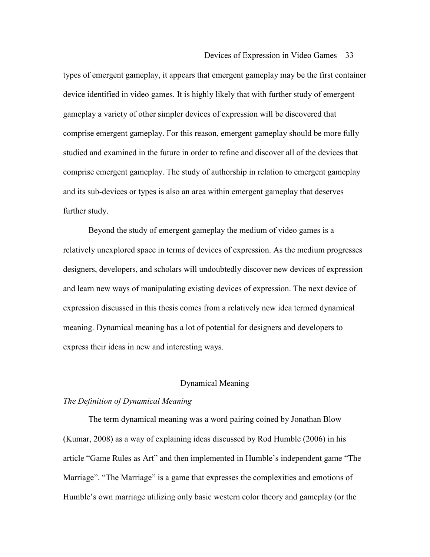types of emergent gameplay, it appears that emergent gameplay may be the first container device identified in video games. It is highly likely that with further study of emergent gameplay a variety of other simpler devices of expression will be discovered that comprise emergent gameplay. For this reason, emergent gameplay should be more fully studied and examined in the future in order to refine and discover all of the devices that comprise emergent gameplay. The study of authorship in relation to emergent gameplay and its sub-devices or types is also an area within emergent gameplay that deserves further study.

 Beyond the study of emergent gameplay the medium of video games is a relatively unexplored space in terms of devices of expression. As the medium progresses designers, developers, and scholars will undoubtedly discover new devices of expression and learn new ways of manipulating existing devices of expression. The next device of expression discussed in this thesis comes from a relatively new idea termed dynamical meaning. Dynamical meaning has a lot of potential for designers and developers to express their ideas in new and interesting ways.

## Dynamical Meaning

## *The Definition of Dynamical Meaning*

 The term dynamical meaning was a word pairing coined by Jonathan Blow (Kumar, 2008) as a way of explaining ideas discussed by Rod Humble (2006) in his article "Game Rules as Art" and then implemented in Humble's independent game "The Marriage". "The Marriage" is a game that expresses the complexities and emotions of Humble's own marriage utilizing only basic western color theory and gameplay (or the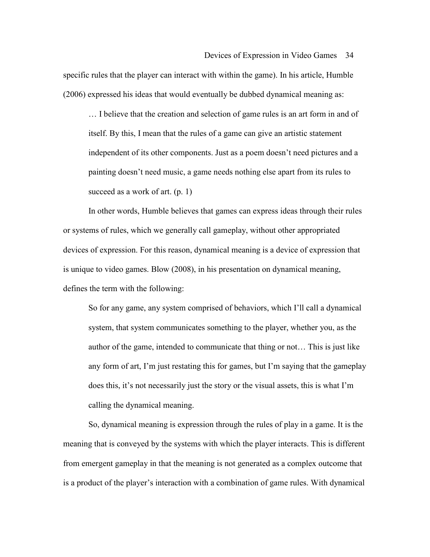specific rules that the player can interact with within the game). In his article, Humble (2006) expressed his ideas that would eventually be dubbed dynamical meaning as:

… I believe that the creation and selection of game rules is an art form in and of itself. By this, I mean that the rules of a game can give an artistic statement independent of its other components. Just as a poem doesn't need pictures and a painting doesn't need music, a game needs nothing else apart from its rules to succeed as a work of art. (p. 1)

 In other words, Humble believes that games can express ideas through their rules or systems of rules, which we generally call gameplay, without other appropriated devices of expression. For this reason, dynamical meaning is a device of expression that is unique to video games. Blow (2008), in his presentation on dynamical meaning, defines the term with the following:

So for any game, any system comprised of behaviors, which I'll call a dynamical system, that system communicates something to the player, whether you, as the author of the game, intended to communicate that thing or not… This is just like any form of art, I'm just restating this for games, but I'm saying that the gameplay does this, it's not necessarily just the story or the visual assets, this is what I'm calling the dynamical meaning.

 So, dynamical meaning is expression through the rules of play in a game. It is the meaning that is conveyed by the systems with which the player interacts. This is different from emergent gameplay in that the meaning is not generated as a complex outcome that is a product of the player's interaction with a combination of game rules. With dynamical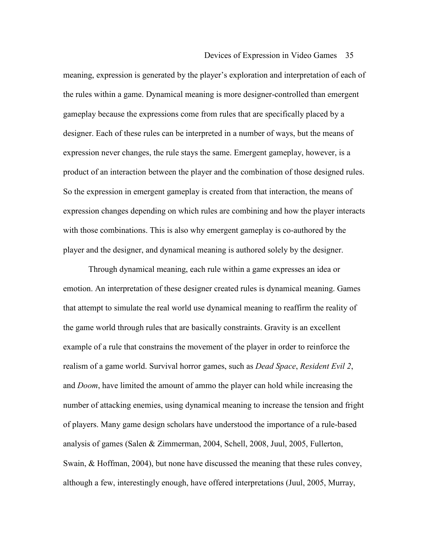meaning, expression is generated by the player's exploration and interpretation of each of the rules within a game. Dynamical meaning is more designer-controlled than emergent gameplay because the expressions come from rules that are specifically placed by a designer. Each of these rules can be interpreted in a number of ways, but the means of expression never changes, the rule stays the same. Emergent gameplay, however, is a product of an interaction between the player and the combination of those designed rules. So the expression in emergent gameplay is created from that interaction, the means of expression changes depending on which rules are combining and how the player interacts with those combinations. This is also why emergent gameplay is co-authored by the player and the designer, and dynamical meaning is authored solely by the designer.

 Through dynamical meaning, each rule within a game expresses an idea or emotion. An interpretation of these designer created rules is dynamical meaning. Games that attempt to simulate the real world use dynamical meaning to reaffirm the reality of the game world through rules that are basically constraints. Gravity is an excellent example of a rule that constrains the movement of the player in order to reinforce the realism of a game world. Survival horror games, such as *Dead Space*, *Resident Evil 2*, and *Doom*, have limited the amount of ammo the player can hold while increasing the number of attacking enemies, using dynamical meaning to increase the tension and fright of players. Many game design scholars have understood the importance of a rule-based analysis of games (Salen & Zimmerman, 2004, Schell, 2008, Juul, 2005, Fullerton, Swain, & Hoffman, 2004), but none have discussed the meaning that these rules convey, although a few, interestingly enough, have offered interpretations (Juul, 2005, Murray,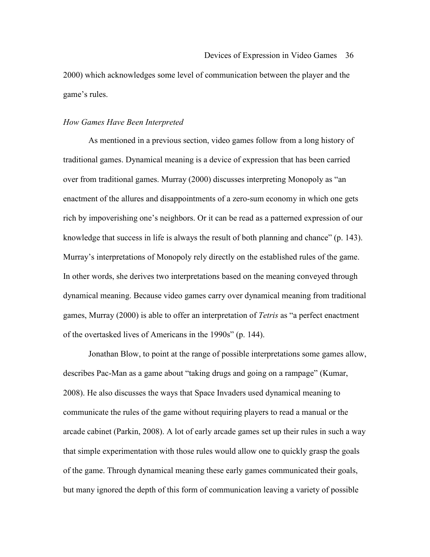2000) which acknowledges some level of communication between the player and the game's rules.

### *How Games Have Been Interpreted*

 As mentioned in a previous section, video games follow from a long history of traditional games. Dynamical meaning is a device of expression that has been carried over from traditional games. Murray (2000) discusses interpreting Monopoly as "an enactment of the allures and disappointments of a zero-sum economy in which one gets rich by impoverishing one's neighbors. Or it can be read as a patterned expression of our knowledge that success in life is always the result of both planning and chance" (p. 143). Murray's interpretations of Monopoly rely directly on the established rules of the game. In other words, she derives two interpretations based on the meaning conveyed through dynamical meaning. Because video games carry over dynamical meaning from traditional games, Murray (2000) is able to offer an interpretation of *Tetris* as "a perfect enactment of the overtasked lives of Americans in the 1990s" (p. 144).

 Jonathan Blow, to point at the range of possible interpretations some games allow, describes Pac-Man as a game about "taking drugs and going on a rampage" (Kumar, 2008). He also discusses the ways that Space Invaders used dynamical meaning to communicate the rules of the game without requiring players to read a manual or the arcade cabinet (Parkin, 2008). A lot of early arcade games set up their rules in such a way that simple experimentation with those rules would allow one to quickly grasp the goals of the game. Through dynamical meaning these early games communicated their goals, but many ignored the depth of this form of communication leaving a variety of possible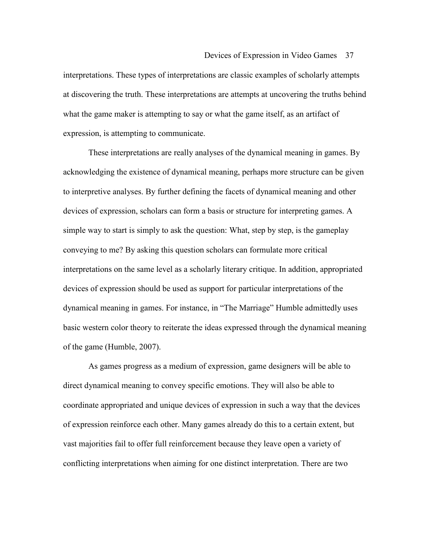interpretations. These types of interpretations are classic examples of scholarly attempts at discovering the truth. These interpretations are attempts at uncovering the truths behind what the game maker is attempting to say or what the game itself, as an artifact of expression, is attempting to communicate.

These interpretations are really analyses of the dynamical meaning in games. By acknowledging the existence of dynamical meaning, perhaps more structure can be given to interpretive analyses. By further defining the facets of dynamical meaning and other devices of expression, scholars can form a basis or structure for interpreting games. A simple way to start is simply to ask the question: What, step by step, is the gameplay conveying to me? By asking this question scholars can formulate more critical interpretations on the same level as a scholarly literary critique. In addition, appropriated devices of expression should be used as support for particular interpretations of the dynamical meaning in games. For instance, in "The Marriage" Humble admittedly uses basic western color theory to reiterate the ideas expressed through the dynamical meaning of the game (Humble, 2007).

As games progress as a medium of expression, game designers will be able to direct dynamical meaning to convey specific emotions. They will also be able to coordinate appropriated and unique devices of expression in such a way that the devices of expression reinforce each other. Many games already do this to a certain extent, but vast majorities fail to offer full reinforcement because they leave open a variety of conflicting interpretations when aiming for one distinct interpretation. There are two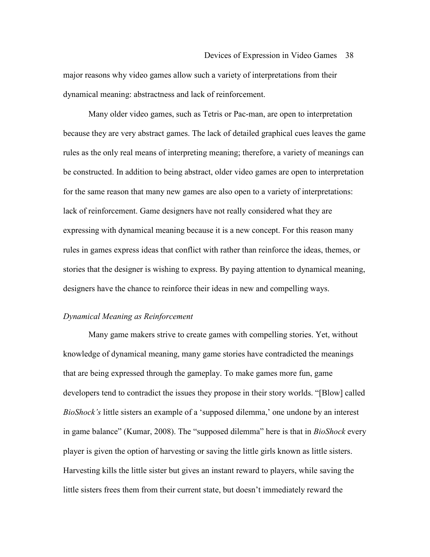major reasons why video games allow such a variety of interpretations from their dynamical meaning: abstractness and lack of reinforcement.

 Many older video games, such as Tetris or Pac-man, are open to interpretation because they are very abstract games. The lack of detailed graphical cues leaves the game rules as the only real means of interpreting meaning; therefore, a variety of meanings can be constructed. In addition to being abstract, older video games are open to interpretation for the same reason that many new games are also open to a variety of interpretations: lack of reinforcement. Game designers have not really considered what they are expressing with dynamical meaning because it is a new concept. For this reason many rules in games express ideas that conflict with rather than reinforce the ideas, themes, or stories that the designer is wishing to express. By paying attention to dynamical meaning, designers have the chance to reinforce their ideas in new and compelling ways.

### *Dynamical Meaning as Reinforcement*

 Many game makers strive to create games with compelling stories. Yet, without knowledge of dynamical meaning, many game stories have contradicted the meanings that are being expressed through the gameplay. To make games more fun, game developers tend to contradict the issues they propose in their story worlds. "[Blow] called *BioShock's* little sisters an example of a 'supposed dilemma,' one undone by an interest in game balance" (Kumar, 2008). The "supposed dilemma" here is that in *BioShock* every player is given the option of harvesting or saving the little girls known as little sisters. Harvesting kills the little sister but gives an instant reward to players, while saving the little sisters frees them from their current state, but doesn't immediately reward the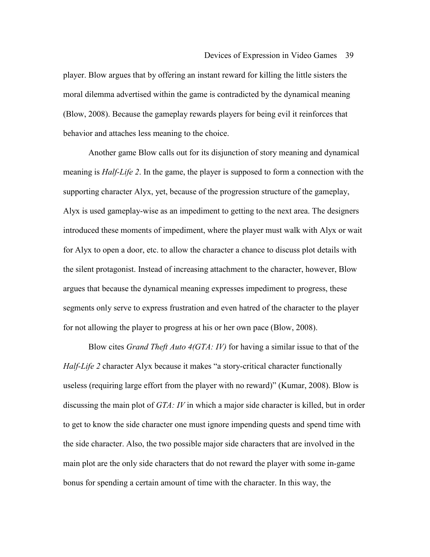player. Blow argues that by offering an instant reward for killing the little sisters the moral dilemma advertised within the game is contradicted by the dynamical meaning (Blow, 2008). Because the gameplay rewards players for being evil it reinforces that behavior and attaches less meaning to the choice.

 Another game Blow calls out for its disjunction of story meaning and dynamical meaning is *Half-Life 2*. In the game, the player is supposed to form a connection with the supporting character Alyx, yet, because of the progression structure of the gameplay, Alyx is used gameplay-wise as an impediment to getting to the next area. The designers introduced these moments of impediment, where the player must walk with Alyx or wait for Alyx to open a door, etc. to allow the character a chance to discuss plot details with the silent protagonist. Instead of increasing attachment to the character, however, Blow argues that because the dynamical meaning expresses impediment to progress, these segments only serve to express frustration and even hatred of the character to the player for not allowing the player to progress at his or her own pace (Blow, 2008).

 Blow cites *Grand Theft Auto 4(GTA: IV)* for having a similar issue to that of the *Half-Life 2* character Alyx because it makes "a story-critical character functionally useless (requiring large effort from the player with no reward)" (Kumar, 2008). Blow is discussing the main plot of *GTA: IV* in which a major side character is killed, but in order to get to know the side character one must ignore impending quests and spend time with the side character. Also, the two possible major side characters that are involved in the main plot are the only side characters that do not reward the player with some in-game bonus for spending a certain amount of time with the character. In this way, the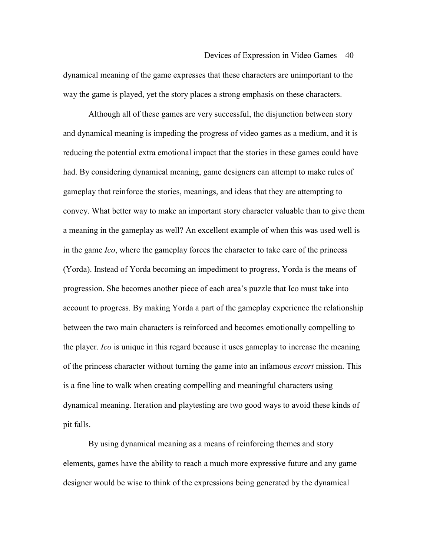dynamical meaning of the game expresses that these characters are unimportant to the way the game is played, yet the story places a strong emphasis on these characters.

 Although all of these games are very successful, the disjunction between story and dynamical meaning is impeding the progress of video games as a medium, and it is reducing the potential extra emotional impact that the stories in these games could have had. By considering dynamical meaning, game designers can attempt to make rules of gameplay that reinforce the stories, meanings, and ideas that they are attempting to convey. What better way to make an important story character valuable than to give them a meaning in the gameplay as well? An excellent example of when this was used well is in the game *Ico*, where the gameplay forces the character to take care of the princess (Yorda). Instead of Yorda becoming an impediment to progress, Yorda is the means of progression. She becomes another piece of each area's puzzle that Ico must take into account to progress. By making Yorda a part of the gameplay experience the relationship between the two main characters is reinforced and becomes emotionally compelling to the player. *Ico* is unique in this regard because it uses gameplay to increase the meaning of the princess character without turning the game into an infamous *escort* mission. This is a fine line to walk when creating compelling and meaningful characters using dynamical meaning. Iteration and playtesting are two good ways to avoid these kinds of pit falls.

By using dynamical meaning as a means of reinforcing themes and story elements, games have the ability to reach a much more expressive future and any game designer would be wise to think of the expressions being generated by the dynamical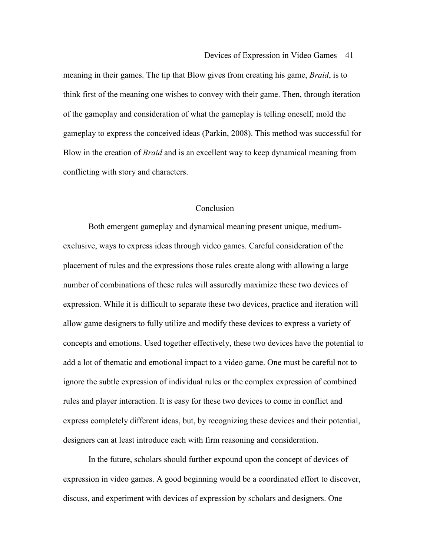meaning in their games. The tip that Blow gives from creating his game, *Braid*, is to think first of the meaning one wishes to convey with their game. Then, through iteration of the gameplay and consideration of what the gameplay is telling oneself, mold the gameplay to express the conceived ideas (Parkin, 2008). This method was successful for Blow in the creation of *Braid* and is an excellent way to keep dynamical meaning from conflicting with story and characters.

### Conclusion

 Both emergent gameplay and dynamical meaning present unique, mediumexclusive, ways to express ideas through video games. Careful consideration of the placement of rules and the expressions those rules create along with allowing a large number of combinations of these rules will assuredly maximize these two devices of expression. While it is difficult to separate these two devices, practice and iteration will allow game designers to fully utilize and modify these devices to express a variety of concepts and emotions. Used together effectively, these two devices have the potential to add a lot of thematic and emotional impact to a video game. One must be careful not to ignore the subtle expression of individual rules or the complex expression of combined rules and player interaction. It is easy for these two devices to come in conflict and express completely different ideas, but, by recognizing these devices and their potential, designers can at least introduce each with firm reasoning and consideration.

 In the future, scholars should further expound upon the concept of devices of expression in video games. A good beginning would be a coordinated effort to discover, discuss, and experiment with devices of expression by scholars and designers. One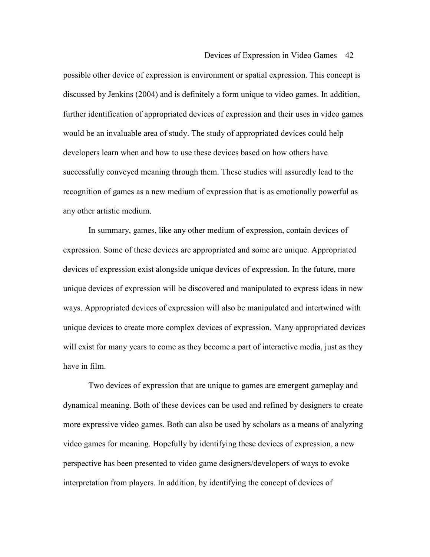possible other device of expression is environment or spatial expression. This concept is discussed by Jenkins (2004) and is definitely a form unique to video games. In addition, further identification of appropriated devices of expression and their uses in video games would be an invaluable area of study. The study of appropriated devices could help developers learn when and how to use these devices based on how others have successfully conveyed meaning through them. These studies will assuredly lead to the recognition of games as a new medium of expression that is as emotionally powerful as any other artistic medium.

In summary, games, like any other medium of expression, contain devices of expression. Some of these devices are appropriated and some are unique. Appropriated devices of expression exist alongside unique devices of expression. In the future, more unique devices of expression will be discovered and manipulated to express ideas in new ways. Appropriated devices of expression will also be manipulated and intertwined with unique devices to create more complex devices of expression. Many appropriated devices will exist for many years to come as they become a part of interactive media, just as they have in film.

Two devices of expression that are unique to games are emergent gameplay and dynamical meaning. Both of these devices can be used and refined by designers to create more expressive video games. Both can also be used by scholars as a means of analyzing video games for meaning. Hopefully by identifying these devices of expression, a new perspective has been presented to video game designers/developers of ways to evoke interpretation from players. In addition, by identifying the concept of devices of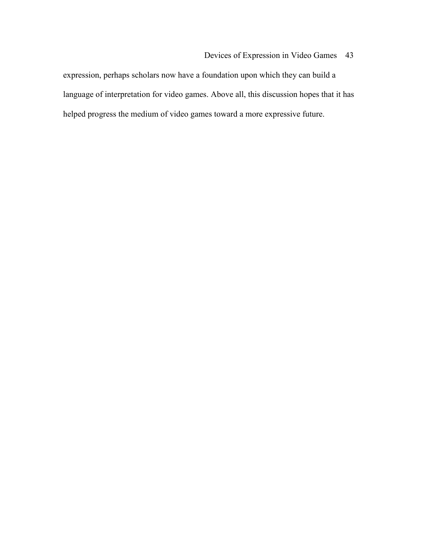expression, perhaps scholars now have a foundation upon which they can build a language of interpretation for video games. Above all, this discussion hopes that it has helped progress the medium of video games toward a more expressive future.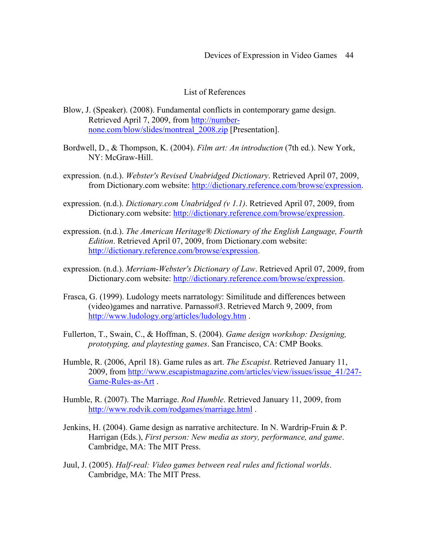## List of References

- Blow, J. (Speaker). (2008). Fundamental conflicts in contemporary game design. Retrieved April 7, 2009, from http://numbernone.com/blow/slides/montreal\_2008.zip [Presentation].
- Bordwell, D., & Thompson, K. (2004). *Film art: An introduction* (7th ed.). New York, NY: McGraw-Hill.
- expression. (n.d.). *Webster's Revised Unabridged Dictionary*. Retrieved April 07, 2009, from Dictionary.com website: http://dictionary.reference.com/browse/expression.
- expression. (n.d.). *Dictionary.com Unabridged (v 1.1)*. Retrieved April 07, 2009, from Dictionary.com website: http://dictionary.reference.com/browse/expression.
- expression. (n.d.). *The American Heritage® Dictionary of the English Language, Fourth Edition*. Retrieved April 07, 2009, from Dictionary.com website: http://dictionary.reference.com/browse/expression.
- expression. (n.d.). *Merriam-Webster's Dictionary of Law*. Retrieved April 07, 2009, from Dictionary.com website: http://dictionary.reference.com/browse/expression.
- Frasca, G. (1999). Ludology meets narratology: Similitude and differences between (video)games and narrative. Parnasso#3. Retrieved March 9, 2009, from http://www.ludology.org/articles/ludology.htm .
- Fullerton, T., Swain, C., & Hoffman, S. (2004). *Game design workshop: Designing, prototyping, and playtesting games*. San Francisco, CA: CMP Books.
- Humble, R. (2006, April 18). Game rules as art. *The Escapist*. Retrieved January 11, 2009, from http://www.escapistmagazine.com/articles/view/issues/issue\_41/247- Game-Rules-as-Art .
- Humble, R. (2007). The Marriage. *Rod Humble*. Retrieved January 11, 2009, from http://www.rodvik.com/rodgames/marriage.html .
- Jenkins, H. (2004). Game design as narrative architecture. In N. Wardrip-Fruin & P. Harrigan (Eds.), *First person: New media as story, performance, and game*. Cambridge, MA: The MIT Press.
- Juul, J. (2005). *Half-real: Video games between real rules and fictional worlds*. Cambridge, MA: The MIT Press.